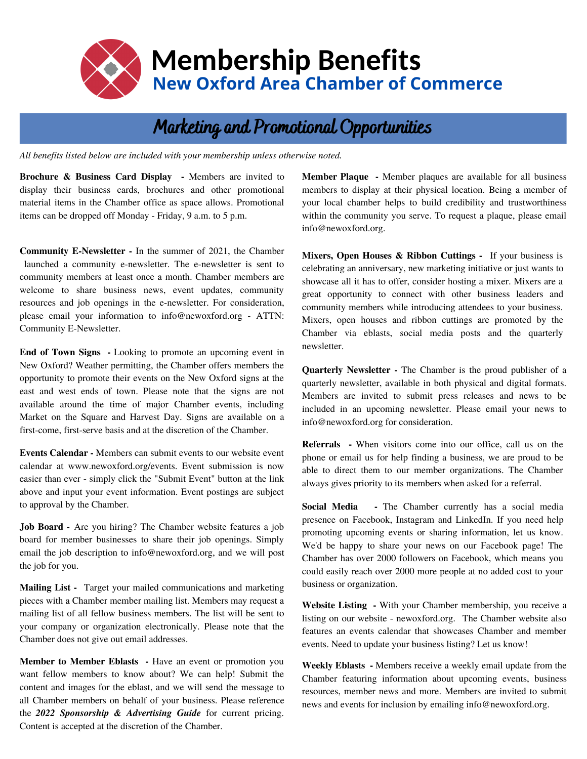

# **Membership Benefits New Oxford Area Chamber of Commerce**

# Marketing and Promotional Opportunities

*All benefits listed below are included with your membership unless otherwise noted.*

**Brochure & Business Card Display -** Members are invited to display their business cards, brochures and other promotional material items in the Chamber office as space allows. Promotional items can be dropped off Monday - Friday, 9 a.m. to 5 p.m.

**Community E-Newsletter -** In the summer of 2021, the Chamber launched a community e-newsletter. The e-newsletter is sent to community members at least once a month. Chamber members are welcome to share business news, event updates, community resources and job openings in the e-newsletter. For consideration, please email your information to info@newoxford.org - ATTN: Community E-Newsletter.

**End of Town Signs -** Looking to promote an upcoming event in New Oxford? Weather permitting, the Chamber offers members the opportunity to promote their events on the New Oxford signs at the east and west ends of town. Please note that the signs are not available around the time of major Chamber events, including Market on the Square and Harvest Day. Signs are available on a first-come, first-serve basis and at the discretion of the Chamber.

**Events Calendar -** Members can submit events to our website event calendar at www.newoxford.org/events. Event submission is now easier than ever - simply click the "Submit Event" button at the link above and input your event information. Event postings are subject to approval by the Chamber.

**Job Board -** Are you hiring? The Chamber website features a job board for member businesses to share their job openings. Simply email the job description to info@newoxford.org, and we will post the job for you.

**Mailing List -** Target your mailed communications and marketing pieces with a Chamber member mailing list. Members may request a mailing list of all fellow business members. The list will be sent to your company or organization electronically. Please note that the Chamber does not give out email addresses.

**Member to Member Eblasts -** Have an event or promotion you want fellow members to know about? We can help! Submit the content and images for the eblast, and we will send the message to all Chamber members on behalf of your business. Please reference the *2022 Sponsorship & Advertising Guide* for current pricing. Content is accepted at the discretion of the Chamber.

**Member Plaque -** Member plaques are available for all business members to display at their physical location. Being a member of your local chamber helps to build credibility and trustworthiness within the community you serve. To request a plaque, please email info@newoxford.org.

**Mixers, Open Houses & Ribbon Cuttings -** If your business is celebrating an anniversary, new marketing initiative or just wants to showcase all it has to offer, consider hosting a mixer. Mixers are a great opportunity to connect with other business leaders and community members while introducing attendees to your business. Mixers, open houses and ribbon cuttings are promoted by the Chamber via eblasts, social media posts and the quarterly newsletter.

**Quarterly Newsletter -** The Chamber is the proud publisher of a quarterly newsletter, available in both physical and digital formats. Members are invited to submit press releases and news to be included in an upcoming newsletter. Please email your news to info@newoxford.org for consideration.

**Referrals -** When visitors come into our office, call us on the phone or email us for help finding a business, we are proud to be able to direct them to our member organizations. The Chamber always gives priority to its members when asked for a referral.

**Social Media -** The Chamber currently has a social media presence on Facebook, Instagram and LinkedIn. If you need help promoting upcoming events or sharing information, let us know. We'd be happy to share your news on our Facebook page! The Chamber has over 2000 followers on Facebook, which means you could easily reach over 2000 more people at no added cost to your business or organization.

**Website Listing -** With your Chamber membership, you receive a listing on our website - newoxford.org. The Chamber website also features an events calendar that showcases Chamber and member events. Need to update your business listing? Let us know!

**Weekly Eblasts -** Members receive a weekly email update from the Chamber featuring information about upcoming events, business resources, member news and more. Members are invited to submit news and events for inclusion by emailing info@newoxford.org.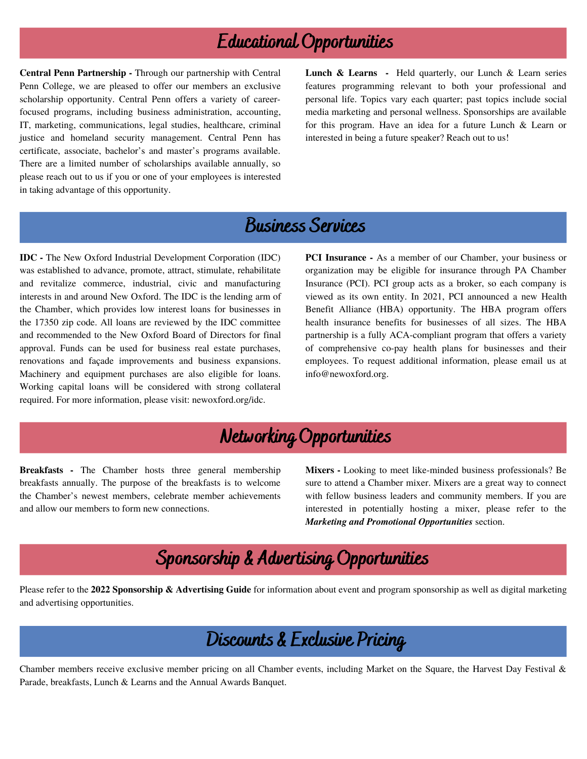#### Educational Opportunities

**Central Penn Partnership -** Through our partnership with Central Penn College, we are pleased to offer our members an exclusive scholarship opportunity. Central Penn offers a variety of careerfocused programs, including business administration, accounting, IT, marketing, communications, legal studies, healthcare, criminal justice and homeland security management. Central Penn has certificate, associate, bachelor's and master's programs available. There are a limited number of scholarships available annually, so please reach out to us if you or one of your employees is interested in taking advantage of this opportunity.

**Lunch & Learns -** Held quarterly, our Lunch & Learn series features programming relevant to both your professional and personal life. Topics vary each quarter; past topics include social media marketing and personal wellness. Sponsorships are available for this program. Have an idea for a future Lunch & Learn or interested in being a future speaker? Reach out to us!

#### Business Services

**IDC -** The New Oxford Industrial Development Corporation (IDC) was established to advance, promote, attract, stimulate, rehabilitate and revitalize commerce, industrial, civic and manufacturing interests in and around New Oxford. The IDC is the lending arm of the Chamber, which provides low interest loans for businesses in the 17350 zip code. All loans are reviewed by the IDC committee and recommended to the New Oxford Board of Directors for final approval. Funds can be used for business real estate purchases, renovations and façade improvements and business expansions. Machinery and equipment purchases are also eligible for loans. Working capital loans will be considered with strong collateral required. For more information, please visit: newoxford.org/idc.

**PCI Insurance -** As a member of our Chamber, your business or organization may be eligible for insurance through PA Chamber Insurance (PCI). PCI group acts as a broker, so each company is viewed as its own entity. In 2021, PCI announced a new Health Benefit Alliance (HBA) opportunity. The HBA program offers health insurance benefits for businesses of all sizes. The HBA partnership is a fully ACA-compliant program that offers a variety of comprehensive co-pay health plans for businesses and their employees. To request additional information, please email us at info@newoxford.org.

# Networking Opportunities

**Breakfasts -** The Chamber hosts three general membership breakfasts annually. The purpose of the breakfasts is to welcome the Chamber's newest members, celebrate member achievements and allow our members to form new connections.

**Mixers -** Looking to meet like-minded business professionals? Be sure to attend a Chamber mixer. Mixers are a great way to connect with fellow business leaders and community members. If you are interested in potentially hosting a mixer, please refer to the *Marketing and Promotional Opportunities* section.

# Sponsorship & Advertising Opportunities

Please refer to the **2022 Sponsorship & Advertising Guide** for information about event and program sponsorship as well as digital marketing and advertising opportunities.

# Discounts & Exclusive Pricing

Chamber members receive exclusive member pricing on all Chamber events, including Market on the Square, the Harvest Day Festival & Parade, breakfasts, Lunch & Learns and the Annual Awards Banquet.